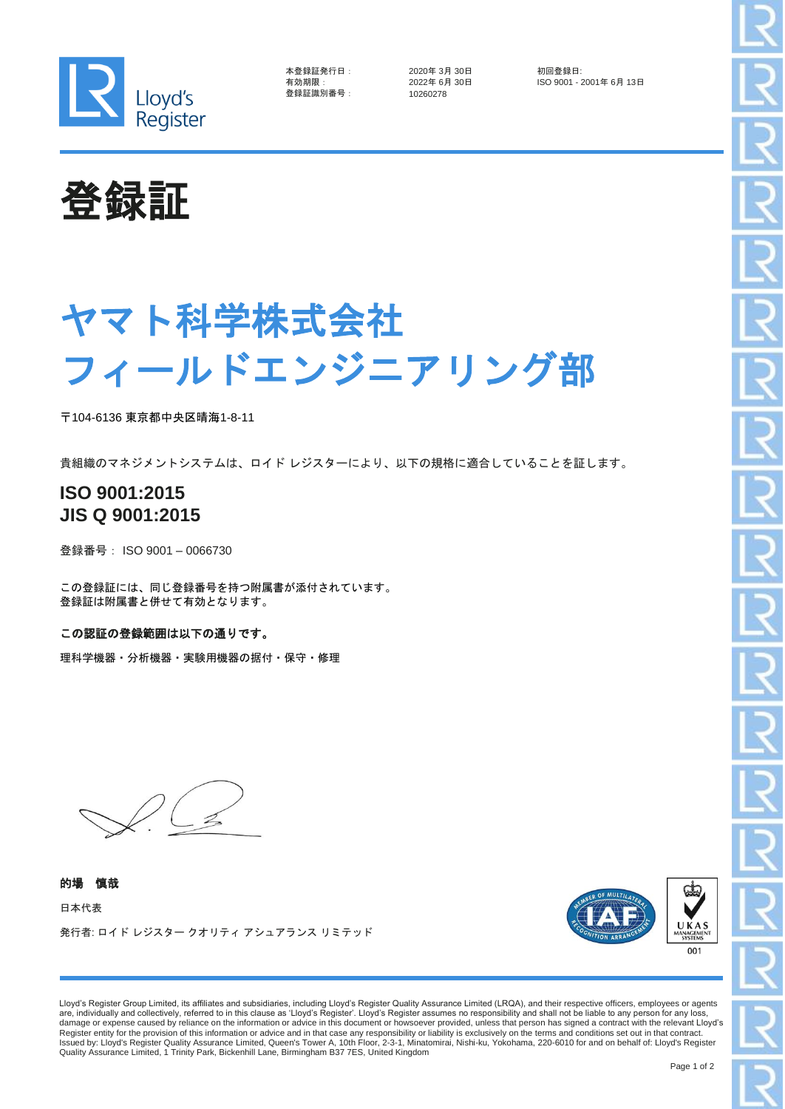

| 本登録証発行日  | - 1 |
|----------|-----|
| 有効期限:    |     |
| 登録証識別番号: |     |

2020年 3月 30日 <mark>初回登録日:</mark><br>2022年 6月 30日 **1999年 - ISO 9001 - 2** 登録証識別番号: 10260278

- <sub>IS</sub> ニュー<br>ISO 9001 - 2001年 6月 13日



## ヤマト科学株式会社 フィールドエンジニアリング部

〒104-6136 東京都中央区晴海1-8-11

貴組織のマネジメントシステムは、ロイド レジスターにより、以下の規格に適合していることを証します。

## **ISO 9001:2015 JIS Q 9001:2015**

登録番号: ISO 9001 – 0066730

この登録証には、同じ登録番号を持つ附属書が添付されています。 登録証は附属書と併せて有効となります。

この認証の登録範囲は以下の通りです。

理科学機器・分析機器・実験用機器の据付・保守・修理

的場 慎哉 日本代表 発行者: ロイド レジスター クオリティ アシュアランス リミテッド